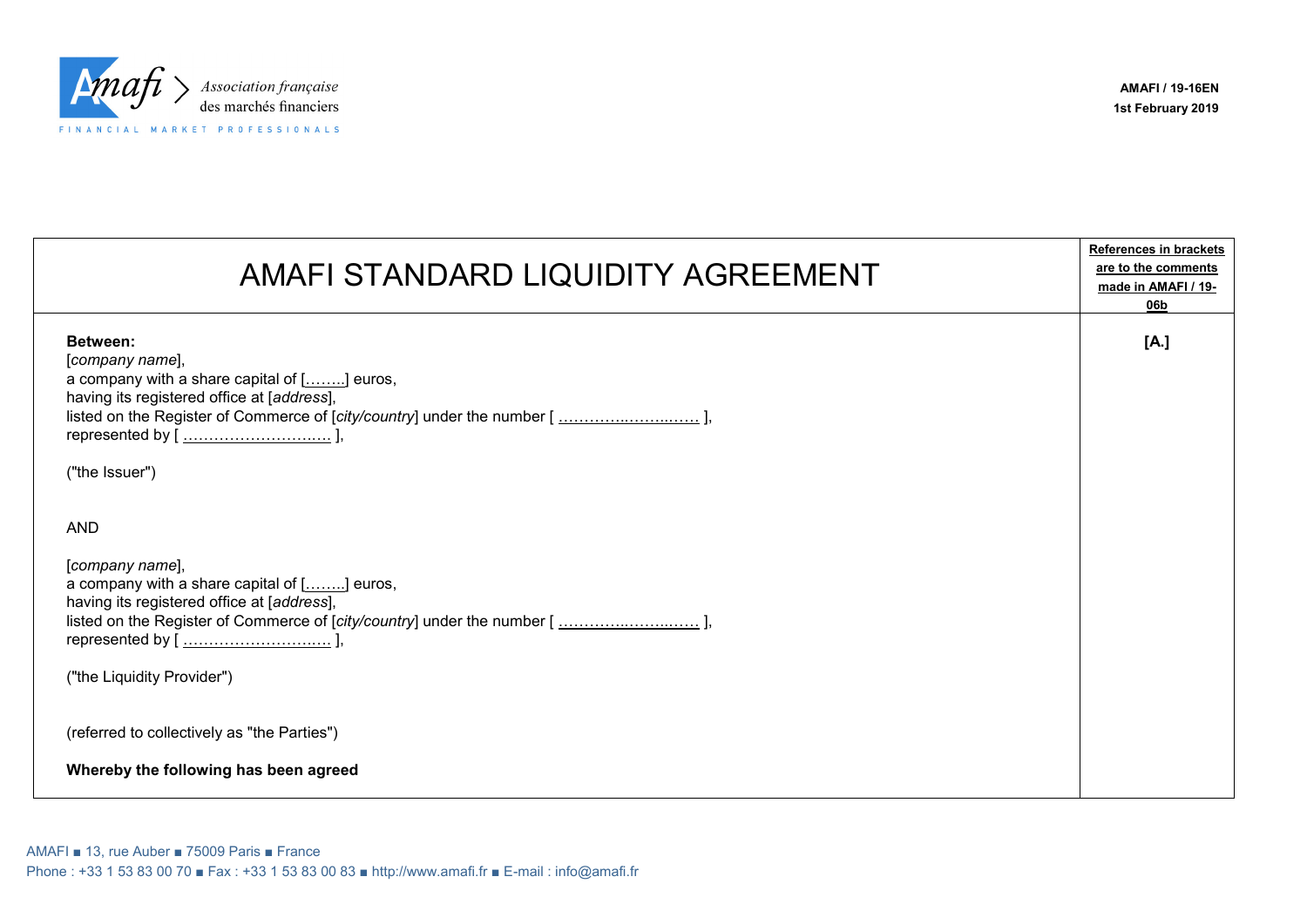

| AMAFI STANDARD LIQUIDITY AGREEMENT                                                                                                                                                                                                    | <b>References in brackets</b><br>are to the comments<br>made in AMAFI / 19-<br>06b |
|---------------------------------------------------------------------------------------------------------------------------------------------------------------------------------------------------------------------------------------|------------------------------------------------------------------------------------|
| Between:<br>[company name],<br>a company with a share capital of [] euros,<br>having its registered office at [address],<br>listed on the Register of Commerce of [city/country] under the number [],<br>("the Issuer")               | [A.]                                                                               |
| <b>AND</b><br>[company name],<br>a company with a share capital of [] euros,<br>having its registered office at [address],<br>listed on the Register of Commerce of [city/country] under the number [],<br>("the Liquidity Provider") |                                                                                    |
| (referred to collectively as "the Parties")<br>Whereby the following has been agreed                                                                                                                                                  |                                                                                    |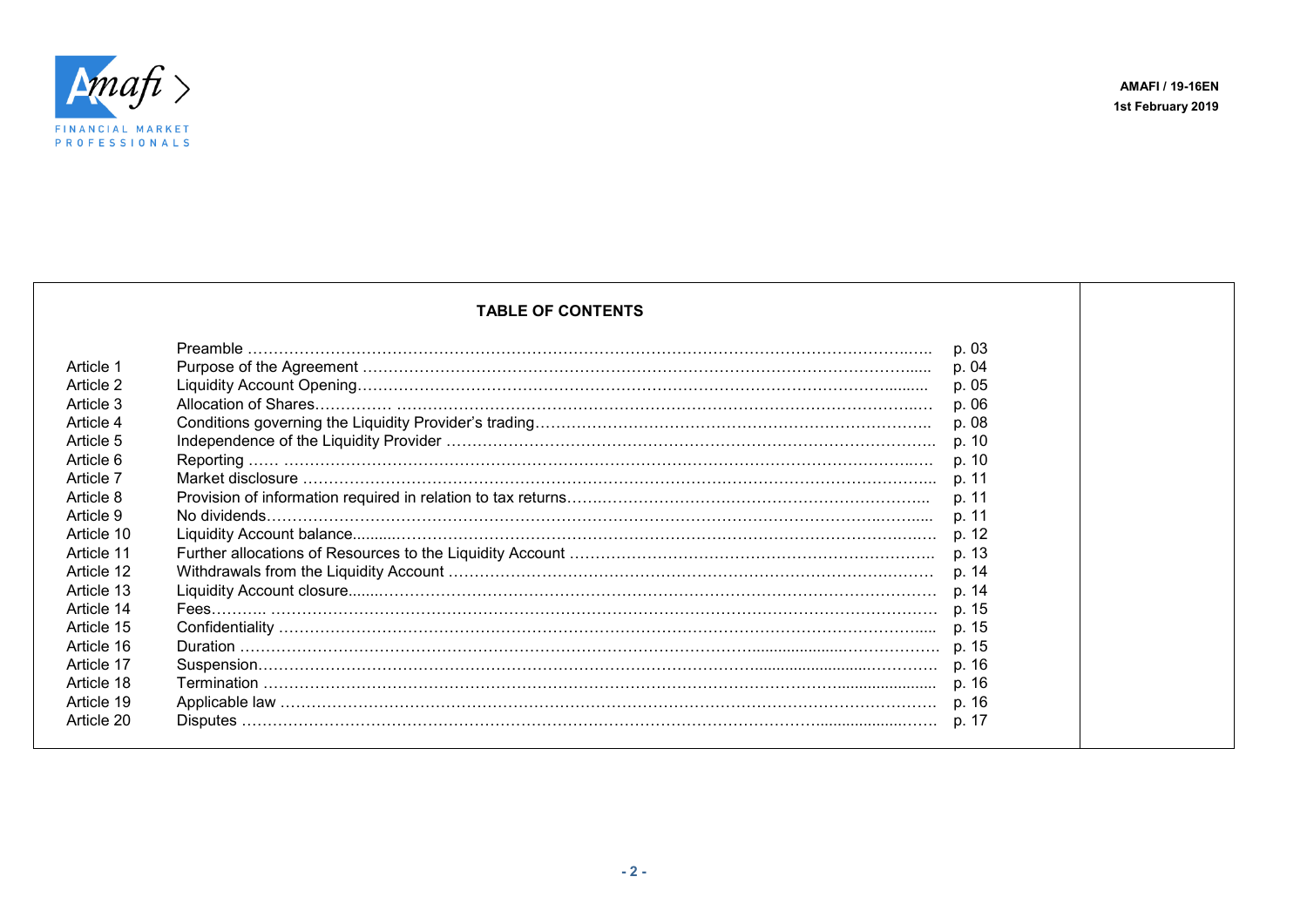

## **TABLE OF CONTENTS** Preamble ………………………………………………………………………………………………………………..….. p. 03 Article 1 Purpose of the Agreement ……………………………………………………………………………………………...... p. 04 Article 2 Liquidity Account Opening………………………………………………………………………………………….......... p. 05 Article 3 Allocation of Shares…………… ………………………………………………………………………………………..… p. 06 Article 4 Conditions governing the Liquidity Provider's trading………………………………………………………………….. p. 08 Article 5 Independence of the Liquidity Provider ………………………………………………………………………………….. p. 10 Article 6 Reporting …… …………………………………………………………………………………………………………..…. p. 10 Article 7 Market disclosure …………………………………………………………………………………………………………... p. 11 Article 8 Provision of information required in relation to tax returns…….…………………….………………………………... p. 11 Article 9 No dividends………………………………………………………………………………………………………..……..... p. 11 Article 10 Liquidity Account balance..........…………………………………………………………………………………….….…. p. 12 Article 11 Further allocations of Resources to the Liquidity Account …………………………………………………………….. p. 13 Article 12 Withdrawals from the Liquidity Account ………………………………………………………………………….……… p. 14 Article 13 Liquidity Account closure.......……………………………………………………………………………………………… p. 14 Article 14 Fees……….. ………………………………………………………………………………………………………………… p. 15 Article 15 Confidentiality ……………………………………………………………………………………………………………..... p. 15 Article 16 Duration ……………………………………………………………………………………….....................………………. p. 15 Article 17 Suspension……………………………………………………………………………………...........................…………. p. 16 Article 18 Termination …………………………………………………………………………………………………....................... p. 16 Article 19 Applicable law ………………………………………………………………………………………………………………. p. 16 Article 20 Disputes …………………………………………………………………………………………………....................……. p. 17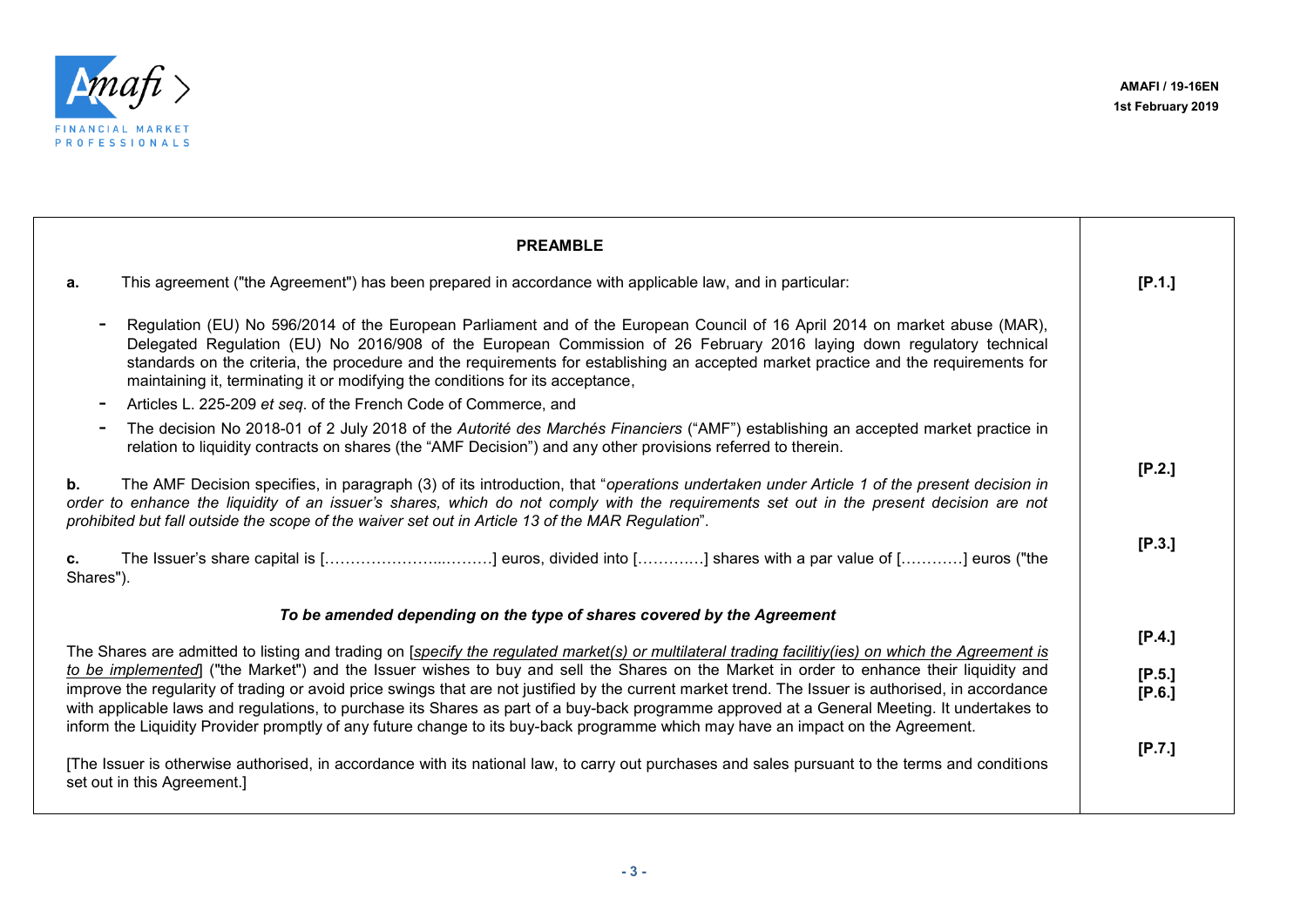

| [P.1.]                                                                                                                                                                                                                                                                                                                                                                                                                                            |
|---------------------------------------------------------------------------------------------------------------------------------------------------------------------------------------------------------------------------------------------------------------------------------------------------------------------------------------------------------------------------------------------------------------------------------------------------|
| Regulation (EU) No 596/2014 of the European Parliament and of the European Council of 16 April 2014 on market abuse (MAR),<br>Delegated Regulation (EU) No 2016/908 of the European Commission of 26 February 2016 laying down regulatory technical<br>standards on the criteria, the procedure and the requirements for establishing an accepted market practice and the requirements for                                                        |
|                                                                                                                                                                                                                                                                                                                                                                                                                                                   |
| The decision No 2018-01 of 2 July 2018 of the Autorité des Marchés Financiers ("AMF") establishing an accepted market practice in                                                                                                                                                                                                                                                                                                                 |
| [P.2.]<br>The AMF Decision specifies, in paragraph (3) of its introduction, that "operations undertaken under Article 1 of the present decision in<br>order to enhance the liquidity of an issuer's shares, which do not comply with the requirements set out in the present decision are not                                                                                                                                                     |
| [P.3.]<br>The Issuer's share capital is [] euros, divided into [] shares with a par value of [] euros ("the                                                                                                                                                                                                                                                                                                                                       |
|                                                                                                                                                                                                                                                                                                                                                                                                                                                   |
| [P.4.]                                                                                                                                                                                                                                                                                                                                                                                                                                            |
| The Shares are admitted to listing and trading on [specify the regulated market(s) or multilateral trading facilitiy(ies) on which the Agreement is                                                                                                                                                                                                                                                                                               |
| to be implemented] ("the Market") and the Issuer wishes to buy and sell the Shares on the Market in order to enhance their liquidity and<br>[P.5.]                                                                                                                                                                                                                                                                                                |
| improve the regularity of trading or avoid price swings that are not justified by the current market trend. The Issuer is authorised, in accordance<br>[P.6.]<br>with applicable laws and regulations, to purchase its Shares as part of a buy-back programme approved at a General Meeting. It undertakes to<br>inform the Liquidity Provider promptly of any future change to its buy-back programme which may have an impact on the Agreement. |
| [P.7.]<br>[The Issuer is otherwise authorised, in accordance with its national law, to carry out purchases and sales pursuant to the terms and conditions                                                                                                                                                                                                                                                                                         |
|                                                                                                                                                                                                                                                                                                                                                                                                                                                   |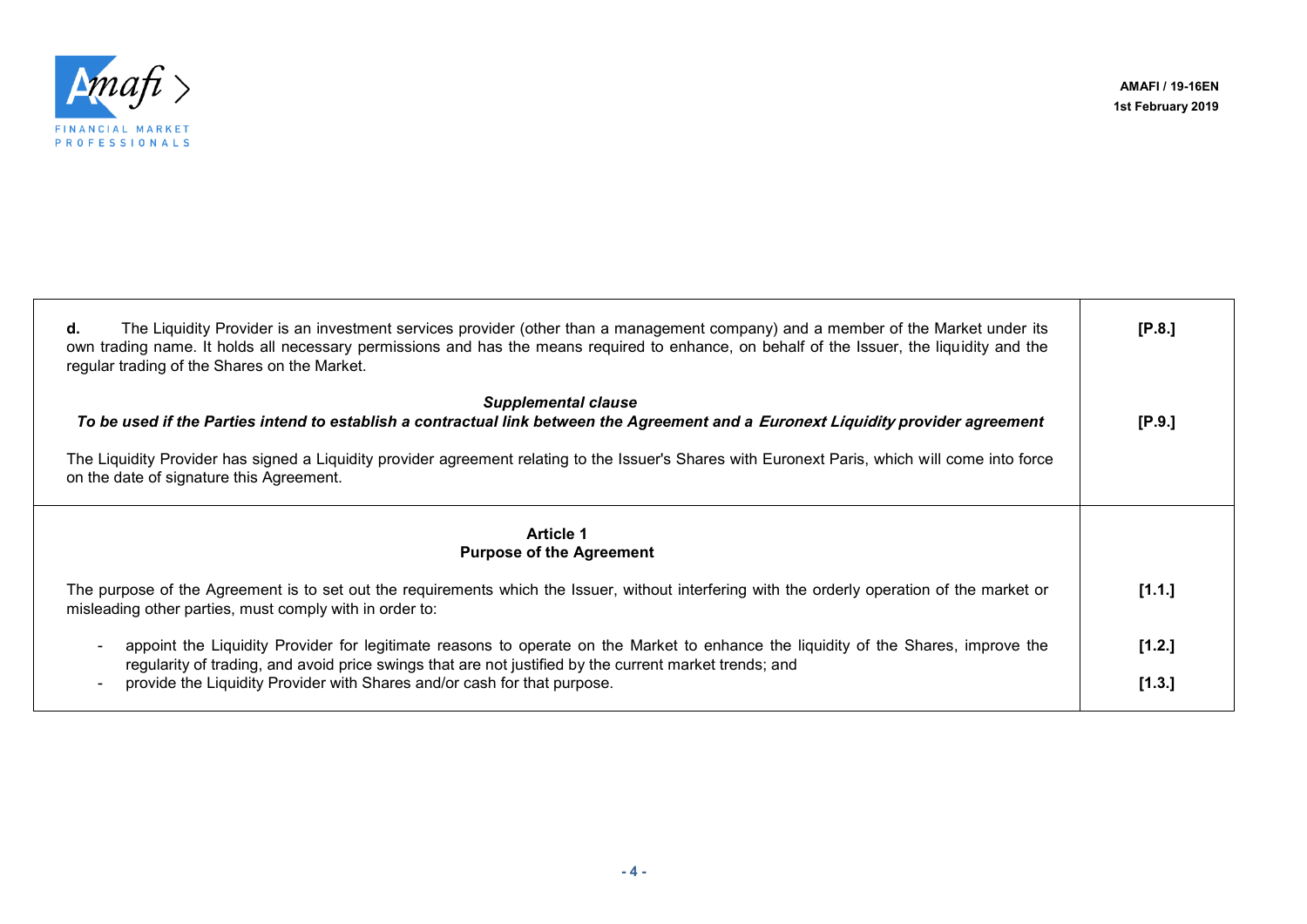

**AMAFI / 19-16EN 1st February 2019**

┑

┬

| The Liquidity Provider is an investment services provider (other than a management company) and a member of the Market under its<br>d.<br>own trading name. It holds all necessary permissions and has the means required to enhance, on behalf of the Issuer, the liquidity and the<br>regular trading of the Shares on the Market. | [P.8.] |
|--------------------------------------------------------------------------------------------------------------------------------------------------------------------------------------------------------------------------------------------------------------------------------------------------------------------------------------|--------|
| <b>Supplemental clause</b><br>To be used if the Parties intend to establish a contractual link between the Agreement and a Euronext Liquidity provider agreement                                                                                                                                                                     | [P.9.] |
| The Liquidity Provider has signed a Liquidity provider agreement relating to the Issuer's Shares with Euronext Paris, which will come into force<br>on the date of signature this Agreement.                                                                                                                                         |        |
| <b>Article 1</b><br><b>Purpose of the Agreement</b>                                                                                                                                                                                                                                                                                  |        |
| The purpose of the Agreement is to set out the requirements which the Issuer, without interfering with the orderly operation of the market or<br>misleading other parties, must comply with in order to:                                                                                                                             | [1.1.] |
| appoint the Liquidity Provider for legitimate reasons to operate on the Market to enhance the liquidity of the Shares, improve the                                                                                                                                                                                                   | [1.2.] |
| regularity of trading, and avoid price swings that are not justified by the current market trends; and<br>provide the Liquidity Provider with Shares and/or cash for that purpose.                                                                                                                                                   | [1.3.] |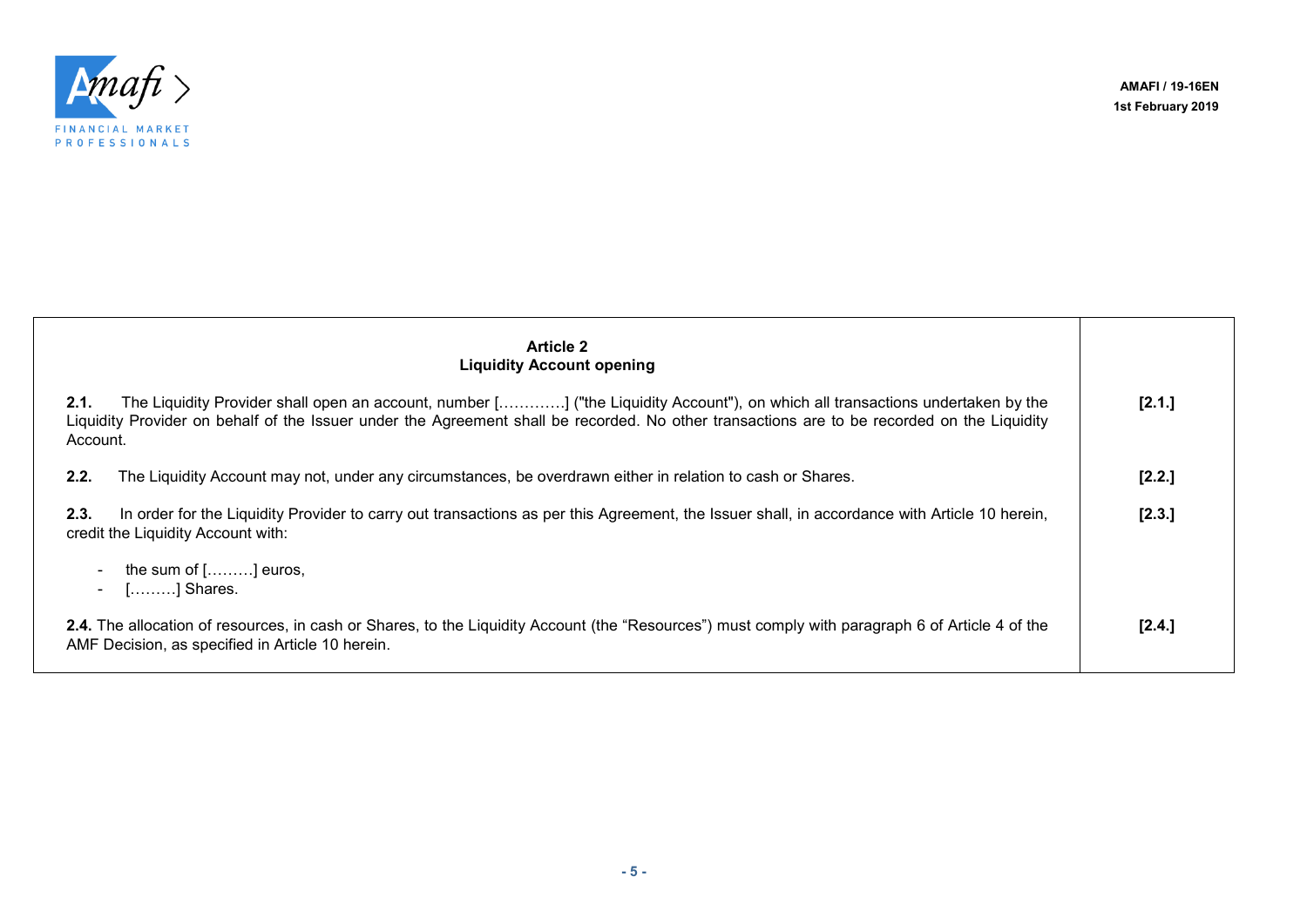

| <b>Article 2</b><br><b>Liquidity Account opening</b>                                                                                                                                                                                                                                              |        |
|---------------------------------------------------------------------------------------------------------------------------------------------------------------------------------------------------------------------------------------------------------------------------------------------------|--------|
| 2.1.<br>The Liquidity Provider shall open an account, number [] ("the Liquidity Account"), on which all transactions undertaken by the<br>Liquidity Provider on behalf of the Issuer under the Agreement shall be recorded. No other transactions are to be recorded on the Liquidity<br>Account. | [2.1.] |
| 2.2.<br>The Liquidity Account may not, under any circumstances, be overdrawn either in relation to cash or Shares.                                                                                                                                                                                | [2.2.] |
| In order for the Liquidity Provider to carry out transactions as per this Agreement, the Issuer shall, in accordance with Article 10 herein,<br>2.3.<br>credit the Liquidity Account with:                                                                                                        | [2.3.] |
| the sum of $[]$ euros,<br>- [] Shares.                                                                                                                                                                                                                                                            |        |
| 2.4. The allocation of resources, in cash or Shares, to the Liquidity Account (the "Resources") must comply with paragraph 6 of Article 4 of the<br>AMF Decision, as specified in Article 10 herein.                                                                                              | [2.4.] |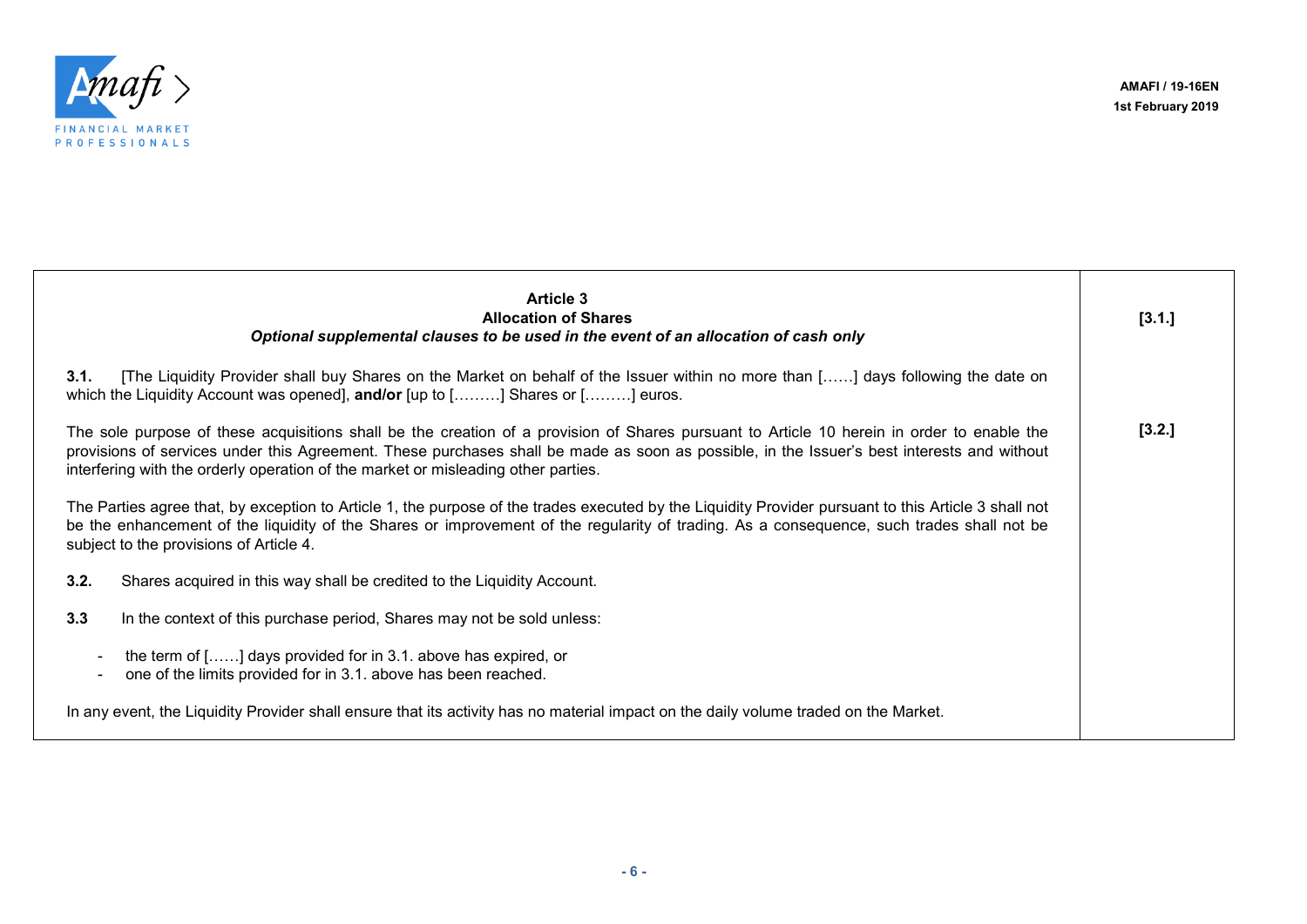┯



| <b>Article 3</b><br><b>Allocation of Shares</b><br>Optional supplemental clauses to be used in the event of an allocation of cash only                                                                                                                                                                                                                                        | [3.1.] |
|-------------------------------------------------------------------------------------------------------------------------------------------------------------------------------------------------------------------------------------------------------------------------------------------------------------------------------------------------------------------------------|--------|
| [The Liquidity Provider shall buy Shares on the Market on behalf of the Issuer within no more than [] days following the date on<br>3.1.<br>which the Liquidity Account was opened], <b>and/or</b> [up to [………] Shares or [………] euros.                                                                                                                                        |        |
| The sole purpose of these acquisitions shall be the creation of a provision of Shares pursuant to Article 10 herein in order to enable the<br>provisions of services under this Agreement. These purchases shall be made as soon as possible, in the Issuer's best interests and without<br>interfering with the orderly operation of the market or misleading other parties. | [3.2.] |
| The Parties agree that, by exception to Article 1, the purpose of the trades executed by the Liquidity Provider pursuant to this Article 3 shall not<br>be the enhancement of the liquidity of the Shares or improvement of the regularity of trading. As a consequence, such trades shall not be<br>subject to the provisions of Article 4.                                  |        |
| 3.2.<br>Shares acquired in this way shall be credited to the Liquidity Account.                                                                                                                                                                                                                                                                                               |        |
| 3.3<br>In the context of this purchase period, Shares may not be sold unless:                                                                                                                                                                                                                                                                                                 |        |
| the term of [] days provided for in 3.1. above has expired, or<br>one of the limits provided for in 3.1. above has been reached.                                                                                                                                                                                                                                              |        |
| In any event, the Liquidity Provider shall ensure that its activity has no material impact on the daily volume traded on the Market.                                                                                                                                                                                                                                          |        |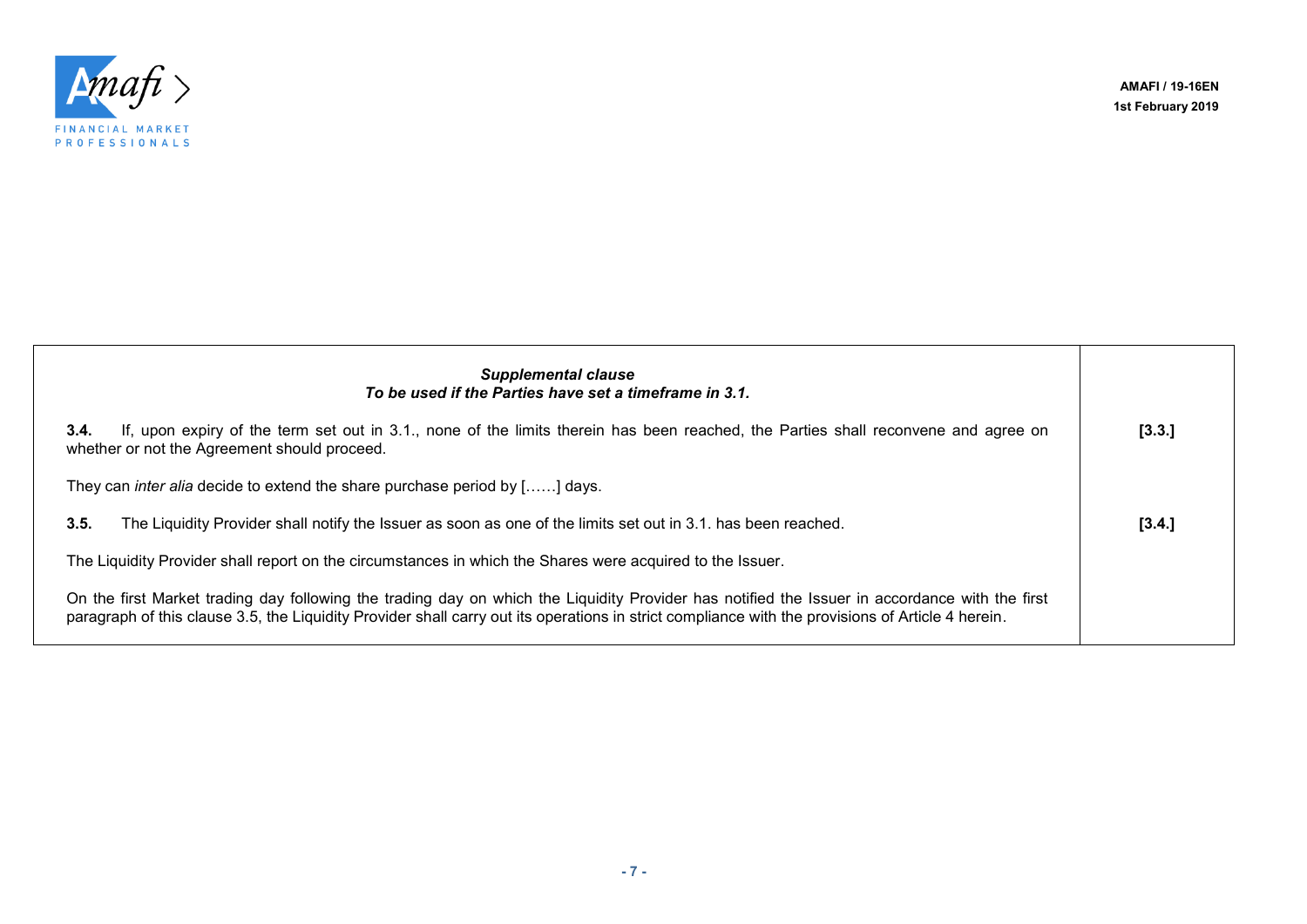

**AMAFI / 19-16EN 1st February 2019**

| <b>Supplemental clause</b><br>To be used if the Parties have set a timeframe in 3.1.                                                                                                                                                                                                                |        |
|-----------------------------------------------------------------------------------------------------------------------------------------------------------------------------------------------------------------------------------------------------------------------------------------------------|--------|
| If, upon expiry of the term set out in 3.1, none of the limits therein has been reached, the Parties shall reconvene and agree on<br>3.4.<br>whether or not the Agreement should proceed.                                                                                                           | [3.3.] |
| They can <i>inter alia</i> decide to extend the share purchase period by [] days.                                                                                                                                                                                                                   |        |
| The Liquidity Provider shall notify the Issuer as soon as one of the limits set out in 3.1. has been reached.<br>3.5.                                                                                                                                                                               | [3.4.] |
| The Liquidity Provider shall report on the circumstances in which the Shares were acquired to the Issuer.                                                                                                                                                                                           |        |
| On the first Market trading day following the trading day on which the Liquidity Provider has notified the Issuer in accordance with the first<br>paragraph of this clause 3.5, the Liquidity Provider shall carry out its operations in strict compliance with the provisions of Article 4 herein. |        |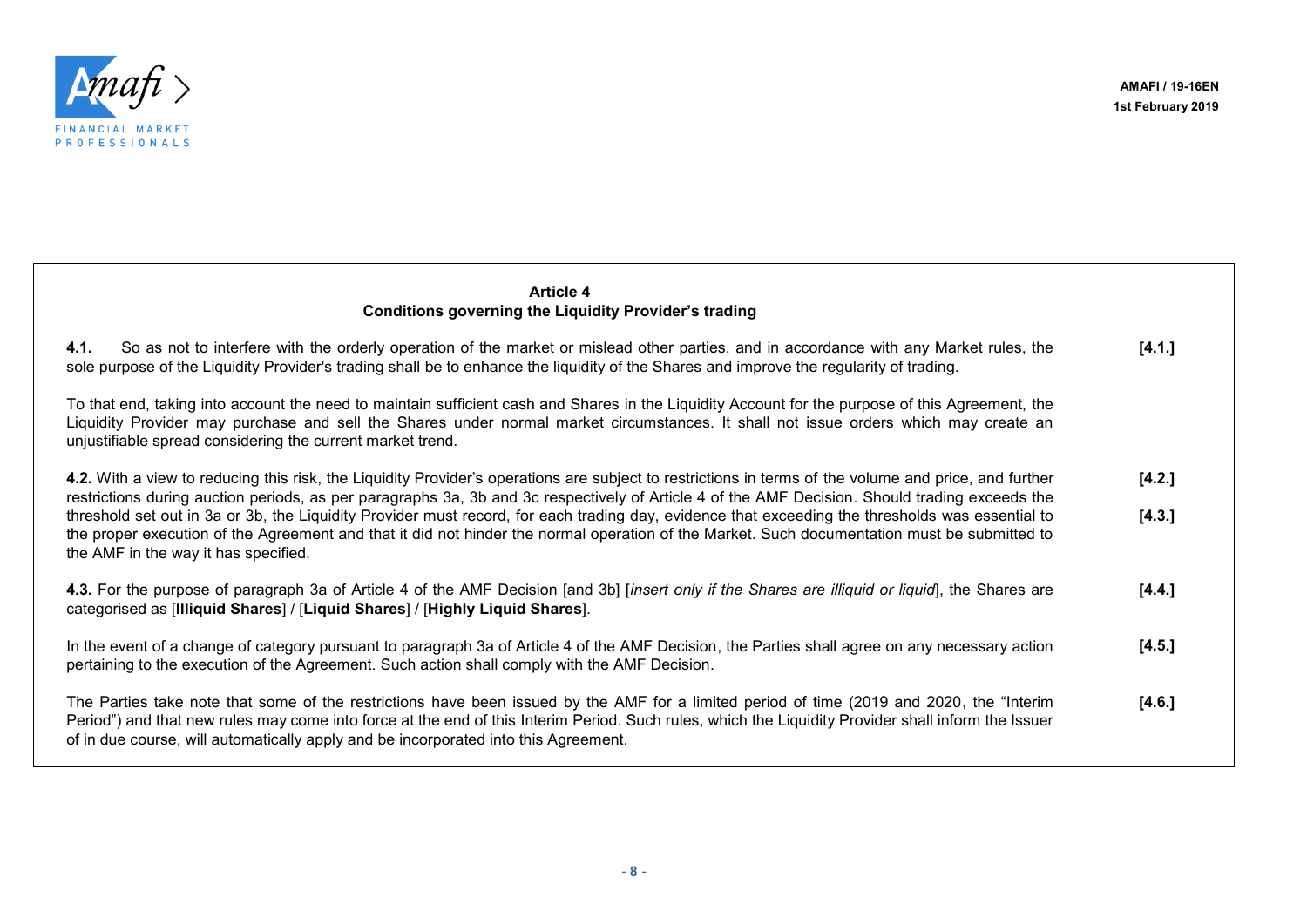

| <b>Article 4</b><br><b>Conditions governing the Liquidity Provider's trading</b>                                                                                                                                                                                                                                                                                                        |        |
|-----------------------------------------------------------------------------------------------------------------------------------------------------------------------------------------------------------------------------------------------------------------------------------------------------------------------------------------------------------------------------------------|--------|
| 4.1.<br>So as not to interfere with the orderly operation of the market or mislead other parties, and in accordance with any Market rules, the<br>sole purpose of the Liquidity Provider's trading shall be to enhance the liquidity of the Shares and improve the regularity of trading.                                                                                               | [4.1.] |
| To that end, taking into account the need to maintain sufficient cash and Shares in the Liquidity Account for the purpose of this Agreement, the<br>Liquidity Provider may purchase and sell the Shares under normal market circumstances. It shall not issue orders which may create an<br>unjustifiable spread considering the current market trend.                                  |        |
| 4.2. With a view to reducing this risk, the Liquidity Provider's operations are subject to restrictions in terms of the volume and price, and further<br>restrictions during auction periods, as per paragraphs 3a, 3b and 3c respectively of Article 4 of the AMF Decision. Should trading exceeds the                                                                                 | [4.2.] |
| threshold set out in 3a or 3b, the Liquidity Provider must record, for each trading day, evidence that exceeding the thresholds was essential to<br>the proper execution of the Agreement and that it did not hinder the normal operation of the Market. Such documentation must be submitted to<br>the AMF in the way it has specified.                                                | [4.3.] |
| 4.3. For the purpose of paragraph 3a of Article 4 of the AMF Decision [and 3b] [insert only if the Shares are illiquid or liquid], the Shares are<br>categorised as [Illiquid Shares] / [Liquid Shares] / [Highly Liquid Shares].                                                                                                                                                       | [4.4.] |
| In the event of a change of category pursuant to paragraph 3a of Article 4 of the AMF Decision, the Parties shall agree on any necessary action<br>pertaining to the execution of the Agreement. Such action shall comply with the AMF Decision.                                                                                                                                        | [4.5.] |
| The Parties take note that some of the restrictions have been issued by the AMF for a limited period of time (2019 and 2020, the "Interim<br>Period") and that new rules may come into force at the end of this Interim Period. Such rules, which the Liquidity Provider shall inform the Issuer<br>of in due course, will automatically apply and be incorporated into this Agreement. | [4.6.] |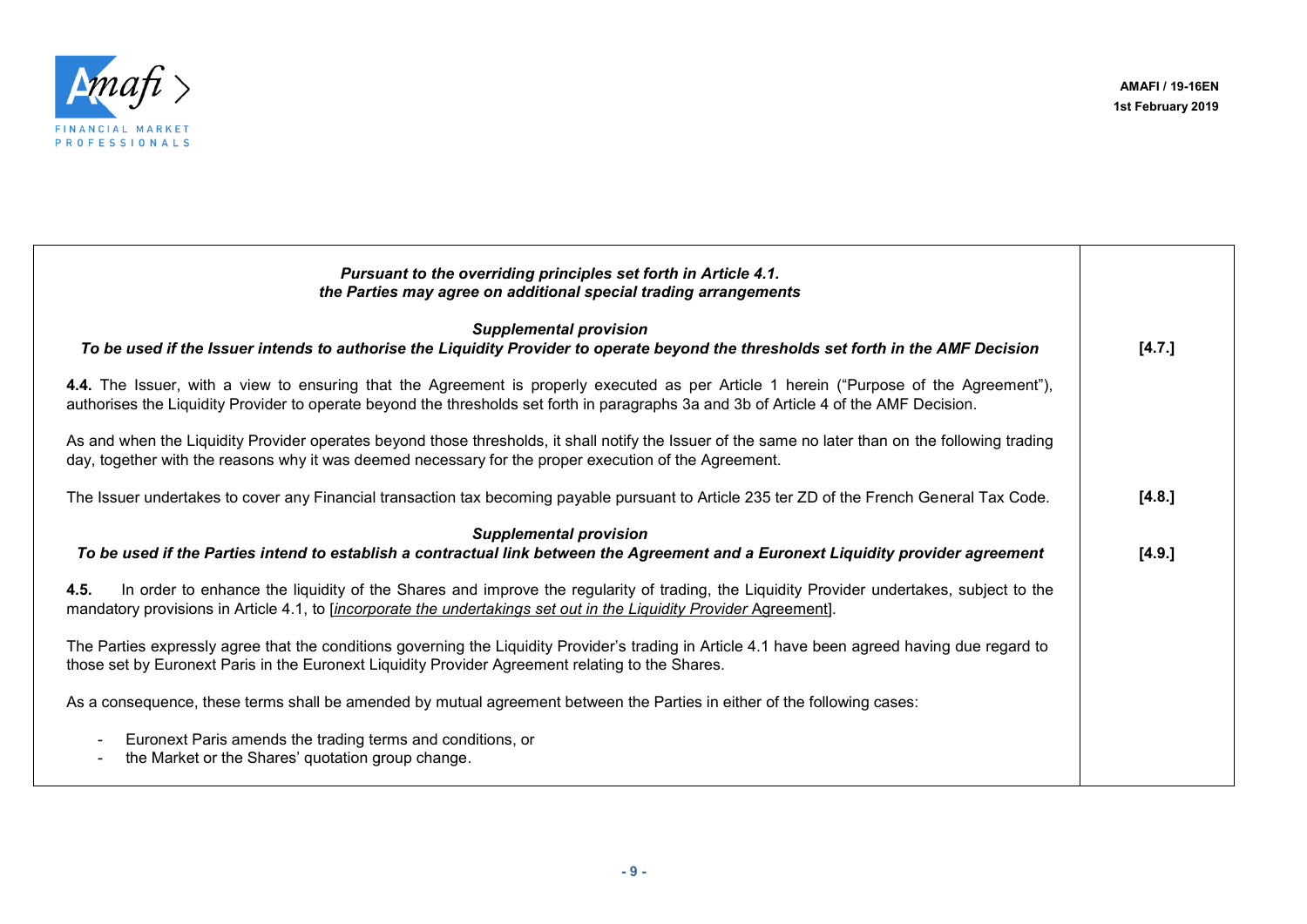

| Pursuant to the overriding principles set forth in Article 4.1.<br>the Parties may agree on additional special trading arrangements                                                                                                                                              |        |
|----------------------------------------------------------------------------------------------------------------------------------------------------------------------------------------------------------------------------------------------------------------------------------|--------|
| <b>Supplemental provision</b><br>To be used if the Issuer intends to authorise the Liquidity Provider to operate beyond the thresholds set forth in the AMF Decision                                                                                                             | [4.7.] |
| 4.4. The Issuer, with a view to ensuring that the Agreement is properly executed as per Article 1 herein ("Purpose of the Agreement"),<br>authorises the Liquidity Provider to operate beyond the thresholds set forth in paragraphs 3a and 3b of Article 4 of the AMF Decision. |        |
| As and when the Liquidity Provider operates beyond those thresholds, it shall notify the Issuer of the same no later than on the following trading<br>day, together with the reasons why it was deemed necessary for the proper execution of the Agreement.                      |        |
| The Issuer undertakes to cover any Financial transaction tax becoming payable pursuant to Article 235 ter ZD of the French General Tax Code.                                                                                                                                     | [4.8.] |
| <b>Supplemental provision</b><br>To be used if the Parties intend to establish a contractual link between the Agreement and a Euronext Liquidity provider agreement                                                                                                              | [4.9.] |
| In order to enhance the liquidity of the Shares and improve the regularity of trading, the Liquidity Provider undertakes, subject to the<br>4.5.<br>mandatory provisions in Article 4.1, to <i>[incorporate the undertakings set out in the Liquidity Provider Agreement]</i> .  |        |
| The Parties expressly agree that the conditions governing the Liquidity Provider's trading in Article 4.1 have been agreed having due regard to<br>those set by Euronext Paris in the Euronext Liquidity Provider Agreement relating to the Shares.                              |        |
| As a consequence, these terms shall be amended by mutual agreement between the Parties in either of the following cases:                                                                                                                                                         |        |
| Euronext Paris amends the trading terms and conditions, or<br>the Market or the Shares' quotation group change.                                                                                                                                                                  |        |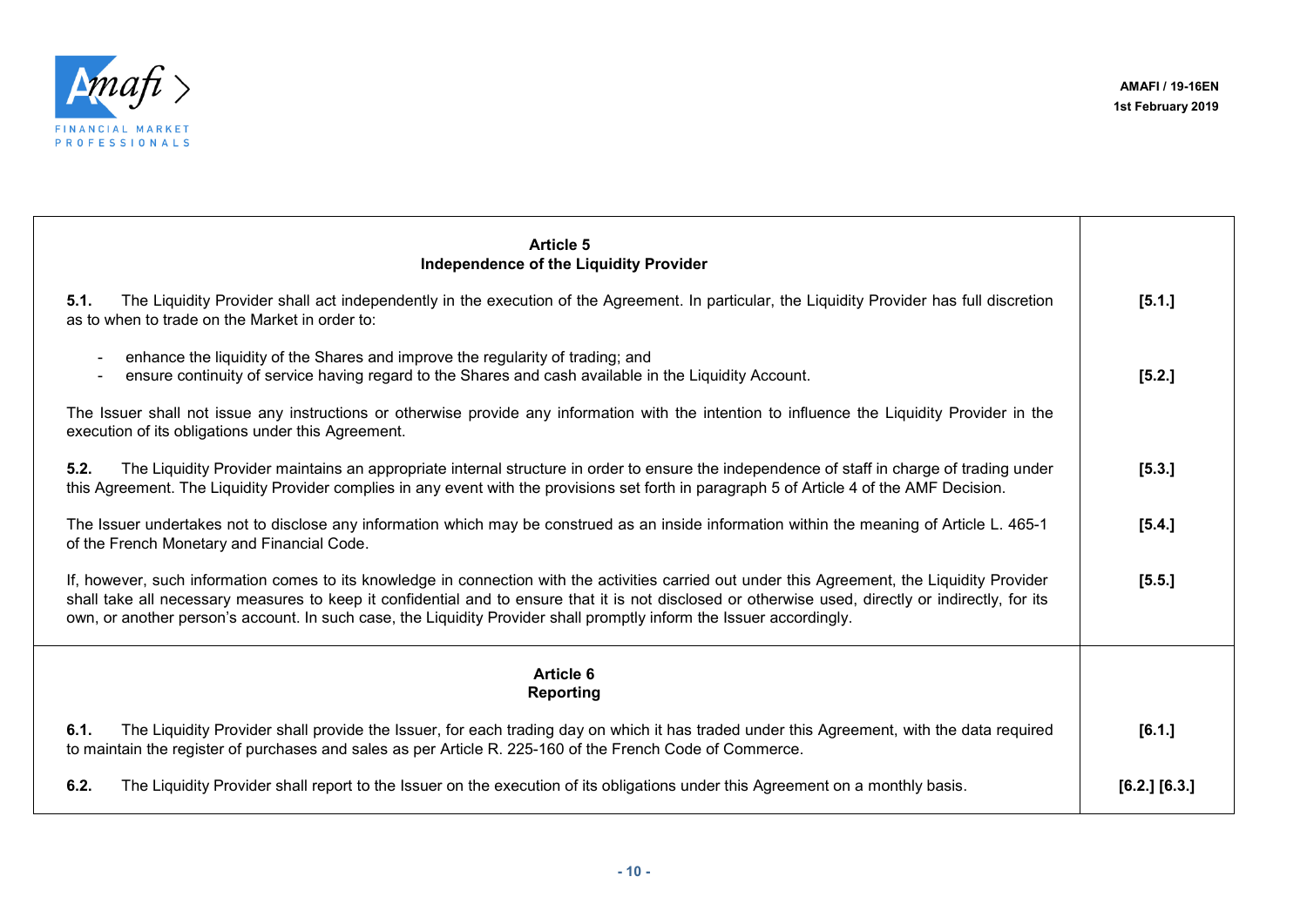

| <b>Article 5</b><br>Independence of the Liquidity Provider                                                                                                                                                                                                                                                                                                                                                                     |                   |
|--------------------------------------------------------------------------------------------------------------------------------------------------------------------------------------------------------------------------------------------------------------------------------------------------------------------------------------------------------------------------------------------------------------------------------|-------------------|
| The Liquidity Provider shall act independently in the execution of the Agreement. In particular, the Liquidity Provider has full discretion<br>5.1.<br>as to when to trade on the Market in order to:                                                                                                                                                                                                                          | [5.1.]            |
| enhance the liquidity of the Shares and improve the regularity of trading; and<br>ensure continuity of service having regard to the Shares and cash available in the Liquidity Account.                                                                                                                                                                                                                                        | [5.2.]            |
| The Issuer shall not issue any instructions or otherwise provide any information with the intention to influence the Liquidity Provider in the<br>execution of its obligations under this Agreement.                                                                                                                                                                                                                           |                   |
| 5.2.<br>The Liquidity Provider maintains an appropriate internal structure in order to ensure the independence of staff in charge of trading under<br>this Agreement. The Liquidity Provider complies in any event with the provisions set forth in paragraph 5 of Article 4 of the AMF Decision.                                                                                                                              | [5.3.]            |
| The Issuer undertakes not to disclose any information which may be construed as an inside information within the meaning of Article L. 465-1<br>of the French Monetary and Financial Code.                                                                                                                                                                                                                                     | [5.4.]            |
| If, however, such information comes to its knowledge in connection with the activities carried out under this Agreement, the Liquidity Provider<br>shall take all necessary measures to keep it confidential and to ensure that it is not disclosed or otherwise used, directly or indirectly, for its<br>own, or another person's account. In such case, the Liquidity Provider shall promptly inform the Issuer accordingly. | [5.5.]            |
| <b>Article 6</b><br><b>Reporting</b>                                                                                                                                                                                                                                                                                                                                                                                           |                   |
| 6.1.<br>The Liquidity Provider shall provide the Issuer, for each trading day on which it has traded under this Agreement, with the data required<br>to maintain the register of purchases and sales as per Article R. 225-160 of the French Code of Commerce.                                                                                                                                                                 | [6.1.]            |
| 6.2.<br>The Liquidity Provider shall report to the Issuer on the execution of its obligations under this Agreement on a monthly basis.                                                                                                                                                                                                                                                                                         | $[6.2.]$ $[6.3.]$ |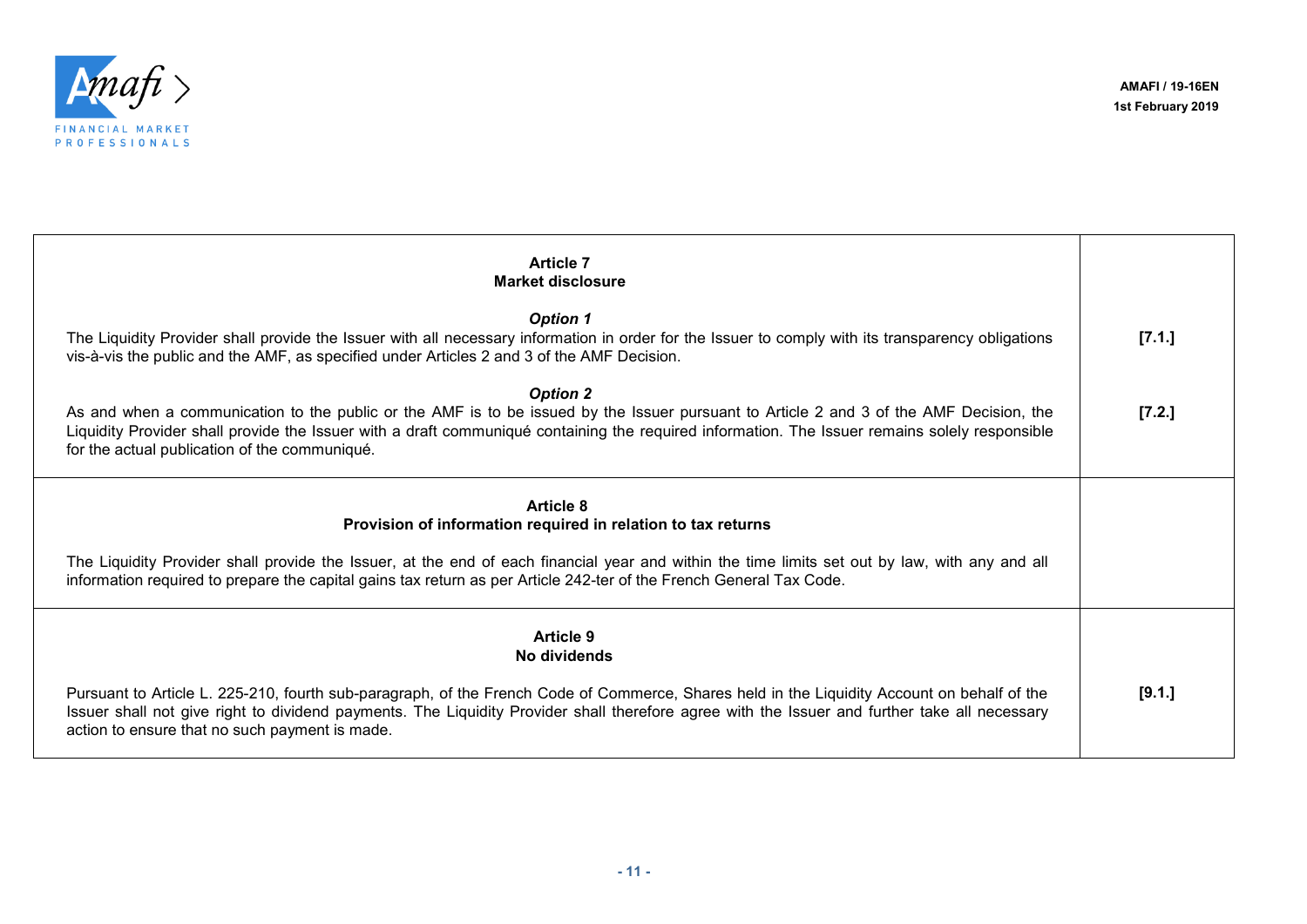

| <b>Article 7</b><br><b>Market disclosure</b>                                                                                                                                                                                                                                                                                                                  |        |
|---------------------------------------------------------------------------------------------------------------------------------------------------------------------------------------------------------------------------------------------------------------------------------------------------------------------------------------------------------------|--------|
| <b>Option 1</b><br>The Liquidity Provider shall provide the Issuer with all necessary information in order for the Issuer to comply with its transparency obligations<br>vis-à-vis the public and the AMF, as specified under Articles 2 and 3 of the AMF Decision.                                                                                           | [7.1.] |
| <b>Option 2</b><br>As and when a communication to the public or the AMF is to be issued by the Issuer pursuant to Article 2 and 3 of the AMF Decision, the<br>Liquidity Provider shall provide the Issuer with a draft communiqué containing the required information. The Issuer remains solely responsible<br>for the actual publication of the communiqué. | [7.2.] |
| <b>Article 8</b><br>Provision of information required in relation to tax returns<br>The Liquidity Provider shall provide the Issuer, at the end of each financial year and within the time limits set out by law, with any and all<br>information required to prepare the capital gains tax return as per Article 242-ter of the French General Tax Code.     |        |
| <b>Article 9</b><br>No dividends                                                                                                                                                                                                                                                                                                                              |        |
| Pursuant to Article L. 225-210, fourth sub-paragraph, of the French Code of Commerce, Shares held in the Liquidity Account on behalf of the<br>Issuer shall not give right to dividend payments. The Liquidity Provider shall therefore agree with the Issuer and further take all necessary<br>action to ensure that no such payment is made.                | [9.1.] |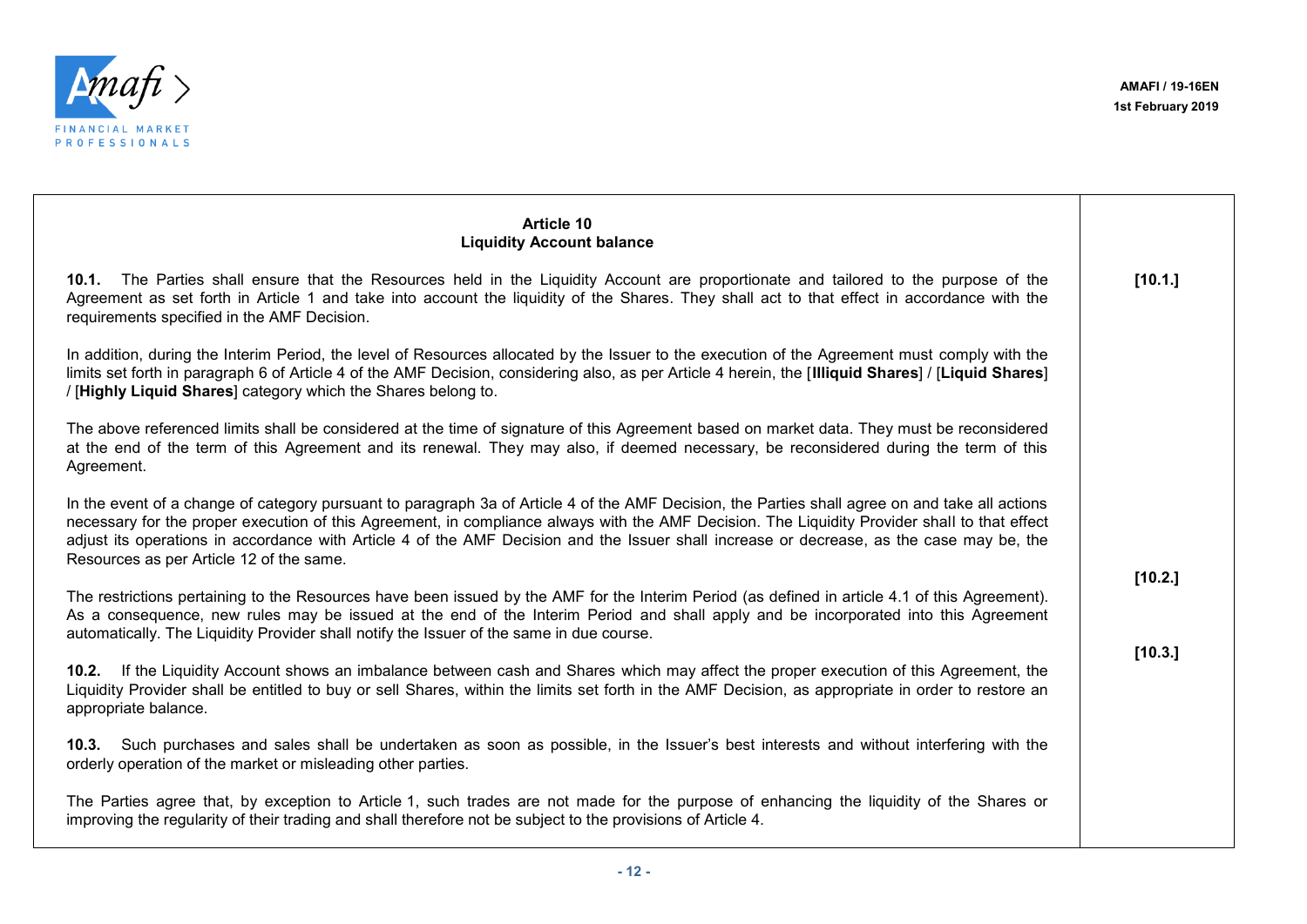

| Article 10<br><b>Liquidity Account balance</b>                                                                                                                                                                                                                                                                                                                                                                                                                                            |         |
|-------------------------------------------------------------------------------------------------------------------------------------------------------------------------------------------------------------------------------------------------------------------------------------------------------------------------------------------------------------------------------------------------------------------------------------------------------------------------------------------|---------|
| 10.1. The Parties shall ensure that the Resources held in the Liquidity Account are proportionate and tailored to the purpose of the<br>Agreement as set forth in Article 1 and take into account the liquidity of the Shares. They shall act to that effect in accordance with the<br>requirements specified in the AMF Decision.                                                                                                                                                        | [10.1.] |
| In addition, during the Interim Period, the level of Resources allocated by the Issuer to the execution of the Agreement must comply with the<br>limits set forth in paragraph 6 of Article 4 of the AMF Decision, considering also, as per Article 4 herein, the [Illiquid Shares] / [Liquid Shares]<br>/ [Highly Liquid Shares] category which the Shares belong to.                                                                                                                    |         |
| The above referenced limits shall be considered at the time of signature of this Agreement based on market data. They must be reconsidered<br>at the end of the term of this Agreement and its renewal. They may also, if deemed necessary, be reconsidered during the term of this<br>Agreement.                                                                                                                                                                                         |         |
| In the event of a change of category pursuant to paragraph 3a of Article 4 of the AMF Decision, the Parties shall agree on and take all actions<br>necessary for the proper execution of this Agreement, in compliance always with the AMF Decision. The Liquidity Provider shall to that effect<br>adjust its operations in accordance with Article 4 of the AMF Decision and the Issuer shall increase or decrease, as the case may be, the<br>Resources as per Article 12 of the same. |         |
| The restrictions pertaining to the Resources have been issued by the AMF for the Interim Period (as defined in article 4.1 of this Agreement).<br>As a consequence, new rules may be issued at the end of the Interim Period and shall apply and be incorporated into this Agreement<br>automatically. The Liquidity Provider shall notify the Issuer of the same in due course.                                                                                                          | [10.2.] |
| If the Liquidity Account shows an imbalance between cash and Shares which may affect the proper execution of this Agreement, the<br>10.2.<br>Liquidity Provider shall be entitled to buy or sell Shares, within the limits set forth in the AMF Decision, as appropriate in order to restore an<br>appropriate balance.                                                                                                                                                                   | [10.3.] |
| 10.3. Such purchases and sales shall be undertaken as soon as possible, in the Issuer's best interests and without interfering with the<br>orderly operation of the market or misleading other parties.                                                                                                                                                                                                                                                                                   |         |
| The Parties agree that, by exception to Article 1, such trades are not made for the purpose of enhancing the liquidity of the Shares or<br>improving the regularity of their trading and shall therefore not be subject to the provisions of Article 4.                                                                                                                                                                                                                                   |         |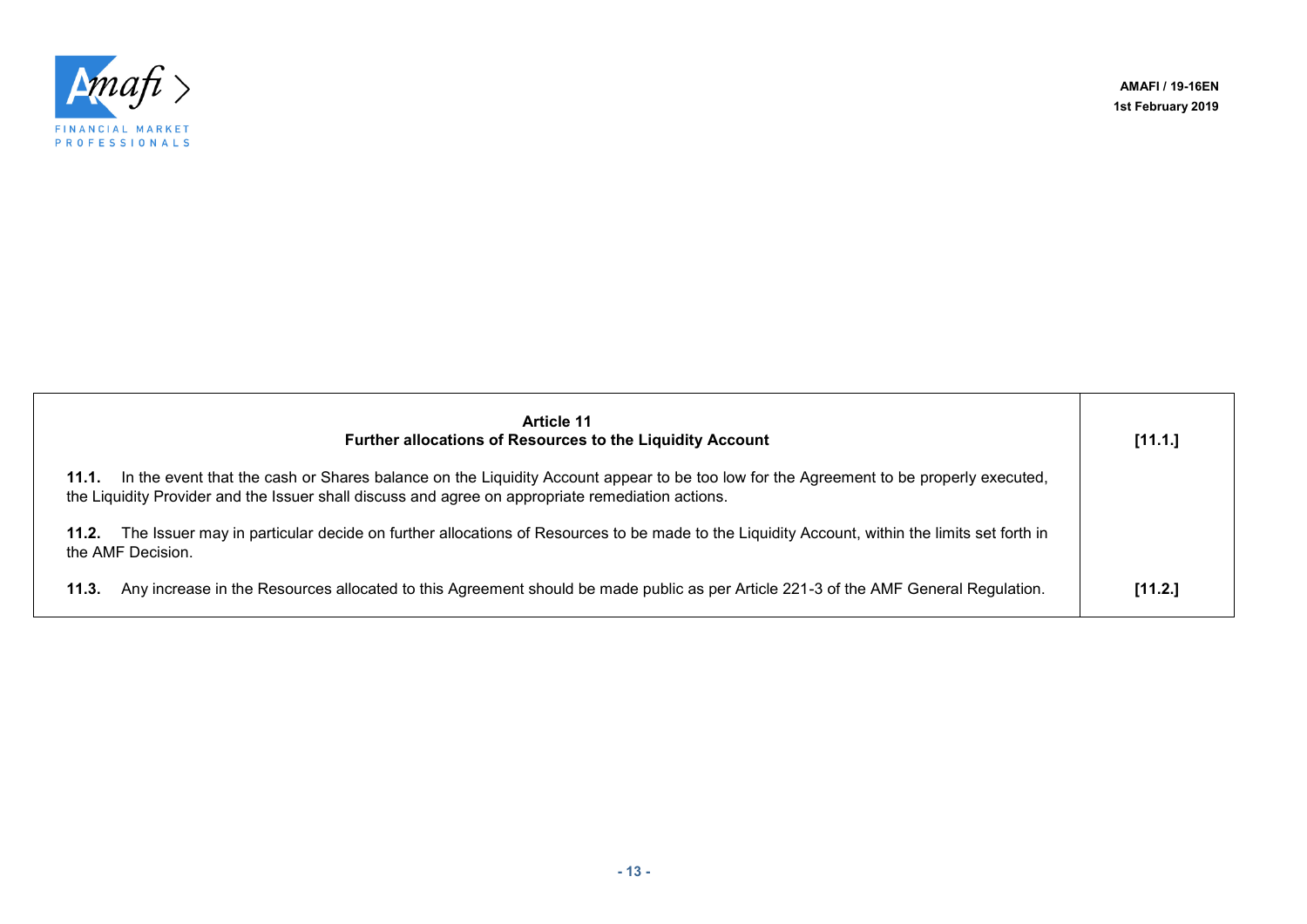**AMAFI / 19-16EN 1st February 2019**



| <b>Article 11</b><br><b>Further allocations of Resources to the Liquidity Account</b>                                                                                                                                                               | [11.1.] |
|-----------------------------------------------------------------------------------------------------------------------------------------------------------------------------------------------------------------------------------------------------|---------|
| In the event that the cash or Shares balance on the Liquidity Account appear to be too low for the Agreement to be properly executed,<br>11.1.<br>the Liquidity Provider and the Issuer shall discuss and agree on appropriate remediation actions. |         |
| The Issuer may in particular decide on further allocations of Resources to be made to the Liquidity Account, within the limits set forth in<br>11.2.<br>the AMF Decision.                                                                           |         |
| Any increase in the Resources allocated to this Agreement should be made public as per Article 221-3 of the AMF General Regulation.<br>11.3.                                                                                                        | [11.2.] |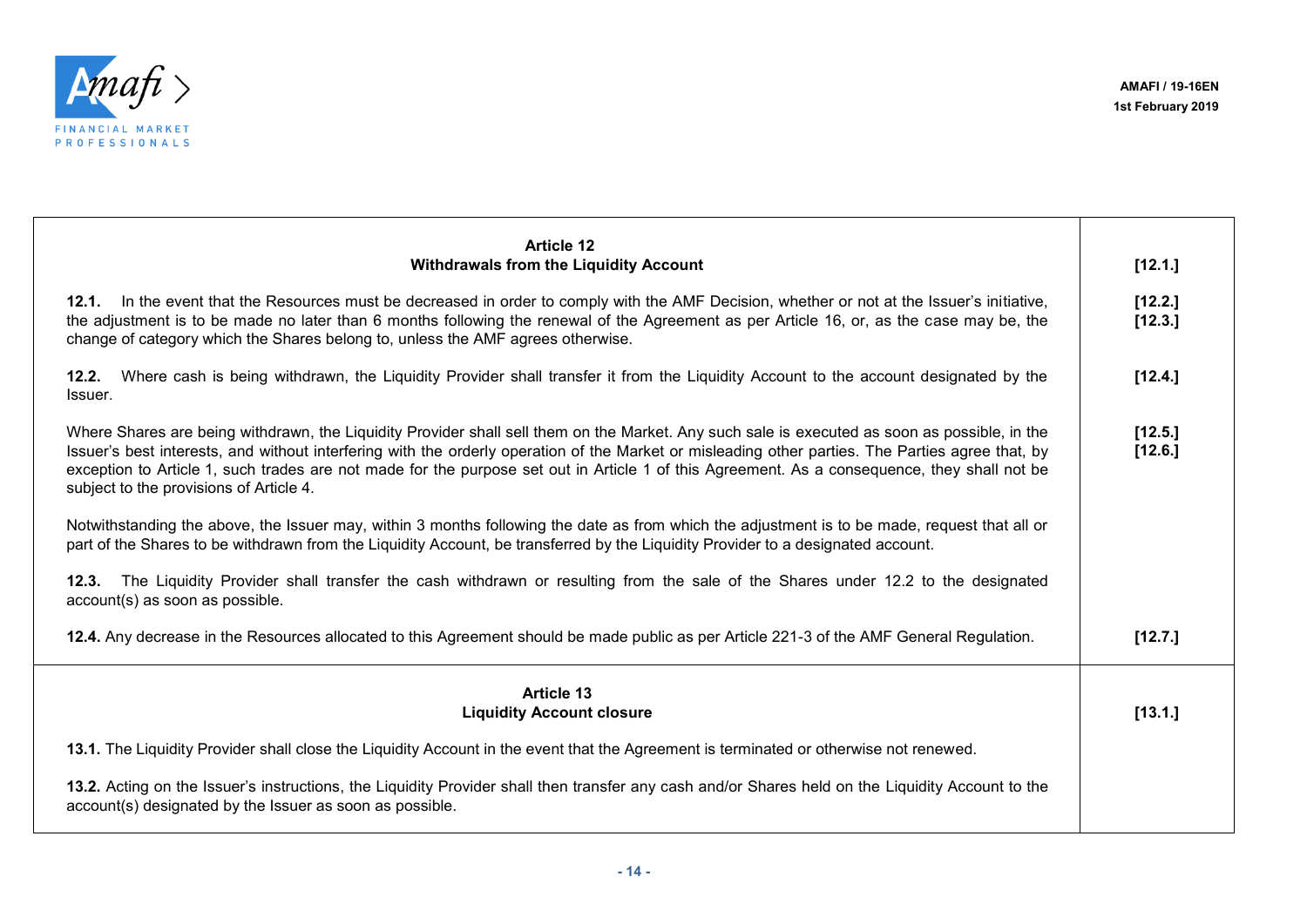

| <b>Article 12</b><br><b>Withdrawals from the Liquidity Account</b>                                                                                                                                                                                                                                                                                                                                                                                                                            | [12.1.]            |
|-----------------------------------------------------------------------------------------------------------------------------------------------------------------------------------------------------------------------------------------------------------------------------------------------------------------------------------------------------------------------------------------------------------------------------------------------------------------------------------------------|--------------------|
|                                                                                                                                                                                                                                                                                                                                                                                                                                                                                               |                    |
| 12.1. In the event that the Resources must be decreased in order to comply with the AMF Decision, whether or not at the Issuer's initiative,<br>the adjustment is to be made no later than 6 months following the renewal of the Agreement as per Article 16, or, as the case may be, the<br>change of category which the Shares belong to, unless the AMF agrees otherwise.                                                                                                                  | [12.2.]<br>[12.3.] |
| Where cash is being withdrawn, the Liquidity Provider shall transfer it from the Liquidity Account to the account designated by the<br>12.2.<br>Issuer.                                                                                                                                                                                                                                                                                                                                       | [12.4.]            |
| Where Shares are being withdrawn, the Liquidity Provider shall sell them on the Market. Any such sale is executed as soon as possible, in the<br>Issuer's best interests, and without interfering with the orderly operation of the Market or misleading other parties. The Parties agree that, by<br>exception to Article 1, such trades are not made for the purpose set out in Article 1 of this Agreement. As a consequence, they shall not be<br>subject to the provisions of Article 4. | [12.5.]<br>[12.6.] |
| Notwithstanding the above, the Issuer may, within 3 months following the date as from which the adjustment is to be made, request that all or<br>part of the Shares to be withdrawn from the Liquidity Account, be transferred by the Liquidity Provider to a designated account.                                                                                                                                                                                                             |                    |
| The Liquidity Provider shall transfer the cash withdrawn or resulting from the sale of the Shares under 12.2 to the designated<br>12.3.<br>account(s) as soon as possible.                                                                                                                                                                                                                                                                                                                    |                    |
| 12.4. Any decrease in the Resources allocated to this Agreement should be made public as per Article 221-3 of the AMF General Regulation.                                                                                                                                                                                                                                                                                                                                                     | [12.7.]            |
| <b>Article 13</b><br><b>Liquidity Account closure</b>                                                                                                                                                                                                                                                                                                                                                                                                                                         | [13.1.]            |
| 13.1. The Liquidity Provider shall close the Liquidity Account in the event that the Agreement is terminated or otherwise not renewed.                                                                                                                                                                                                                                                                                                                                                        |                    |
| 13.2. Acting on the Issuer's instructions, the Liquidity Provider shall then transfer any cash and/or Shares held on the Liquidity Account to the<br>account(s) designated by the Issuer as soon as possible.                                                                                                                                                                                                                                                                                 |                    |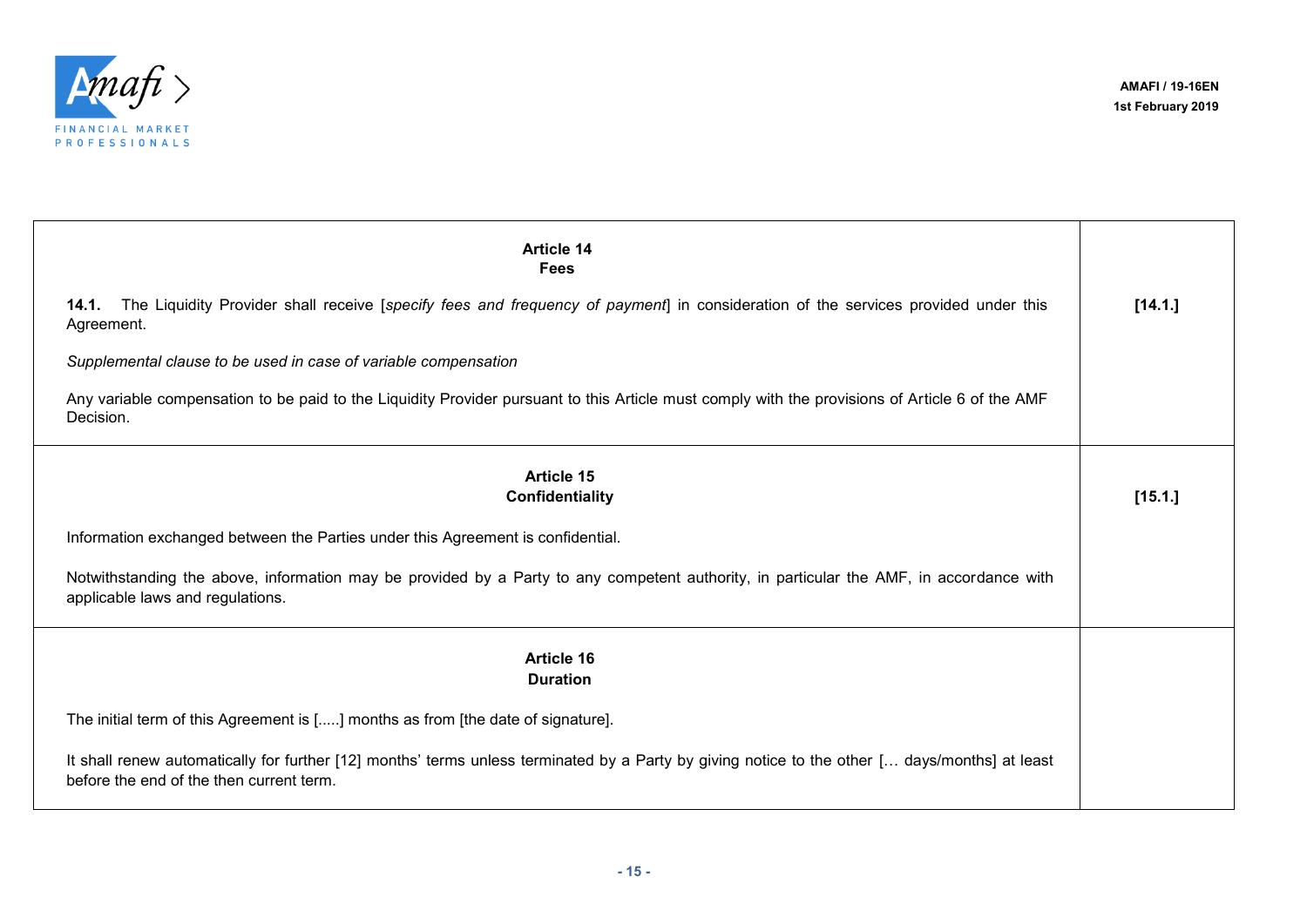

 $\top$ 

| <b>Article 14</b><br><b>Fees</b>                                                                                                                                                           |         |
|--------------------------------------------------------------------------------------------------------------------------------------------------------------------------------------------|---------|
| 14.1. The Liquidity Provider shall receive [specify fees and frequency of payment] in consideration of the services provided under this<br>Agreement.                                      | [14.1.] |
| Supplemental clause to be used in case of variable compensation                                                                                                                            |         |
| Any variable compensation to be paid to the Liquidity Provider pursuant to this Article must comply with the provisions of Article 6 of the AMF<br>Decision.                               |         |
| Article 15<br>Confidentiality                                                                                                                                                              | [15.1.] |
| Information exchanged between the Parties under this Agreement is confidential.                                                                                                            |         |
| Notwithstanding the above, information may be provided by a Party to any competent authority, in particular the AMF, in accordance with<br>applicable laws and regulations.                |         |
| <b>Article 16</b><br><b>Duration</b>                                                                                                                                                       |         |
| The initial term of this Agreement is [] months as from [the date of signature].                                                                                                           |         |
| It shall renew automatically for further [12] months' terms unless terminated by a Party by giving notice to the other [ days/months] at least<br>before the end of the then current term. |         |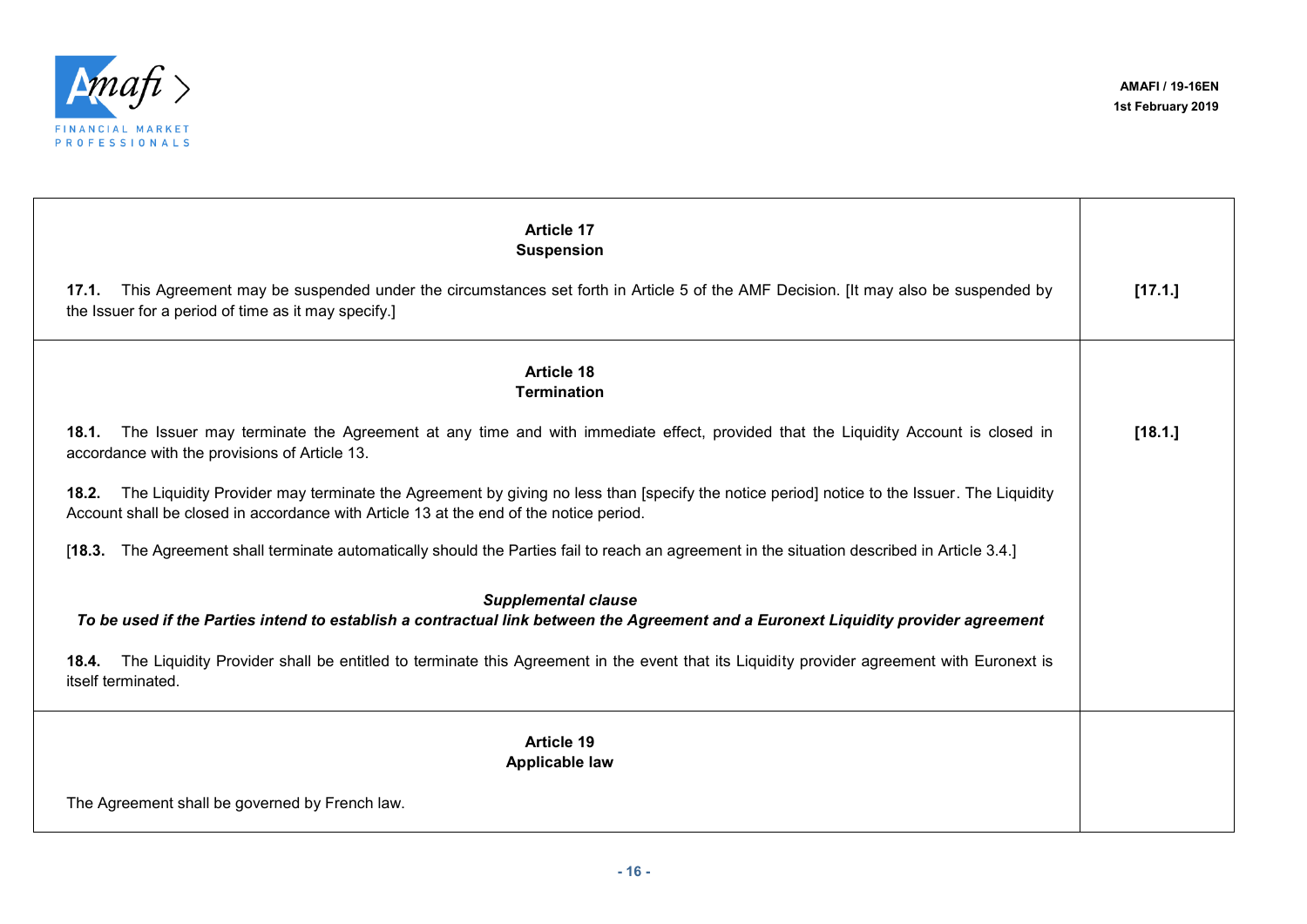

| <b>Article 17</b><br><b>Suspension</b>                                                                                                                                                                                                       |         |
|----------------------------------------------------------------------------------------------------------------------------------------------------------------------------------------------------------------------------------------------|---------|
| This Agreement may be suspended under the circumstances set forth in Article 5 of the AMF Decision. [It may also be suspended by<br>17.1.<br>the Issuer for a period of time as it may specify.]                                             | [17.1.] |
| <b>Article 18</b><br><b>Termination</b>                                                                                                                                                                                                      |         |
| The Issuer may terminate the Agreement at any time and with immediate effect, provided that the Liquidity Account is closed in<br>18.1.<br>accordance with the provisions of Article 13.                                                     | [18.1.] |
| The Liquidity Provider may terminate the Agreement by giving no less than [specify the notice period] notice to the Issuer. The Liquidity<br>18.2.<br>Account shall be closed in accordance with Article 13 at the end of the notice period. |         |
| The Agreement shall terminate automatically should the Parties fail to reach an agreement in the situation described in Article 3.4.]<br>[18.3]                                                                                              |         |
| <b>Supplemental clause</b><br>To be used if the Parties intend to establish a contractual link between the Agreement and a Euronext Liquidity provider agreement                                                                             |         |
| The Liquidity Provider shall be entitled to terminate this Agreement in the event that its Liquidity provider agreement with Euronext is<br>18.4.<br>itself terminated.                                                                      |         |
| <b>Article 19</b><br><b>Applicable law</b>                                                                                                                                                                                                   |         |
| The Agreement shall be governed by French law.                                                                                                                                                                                               |         |